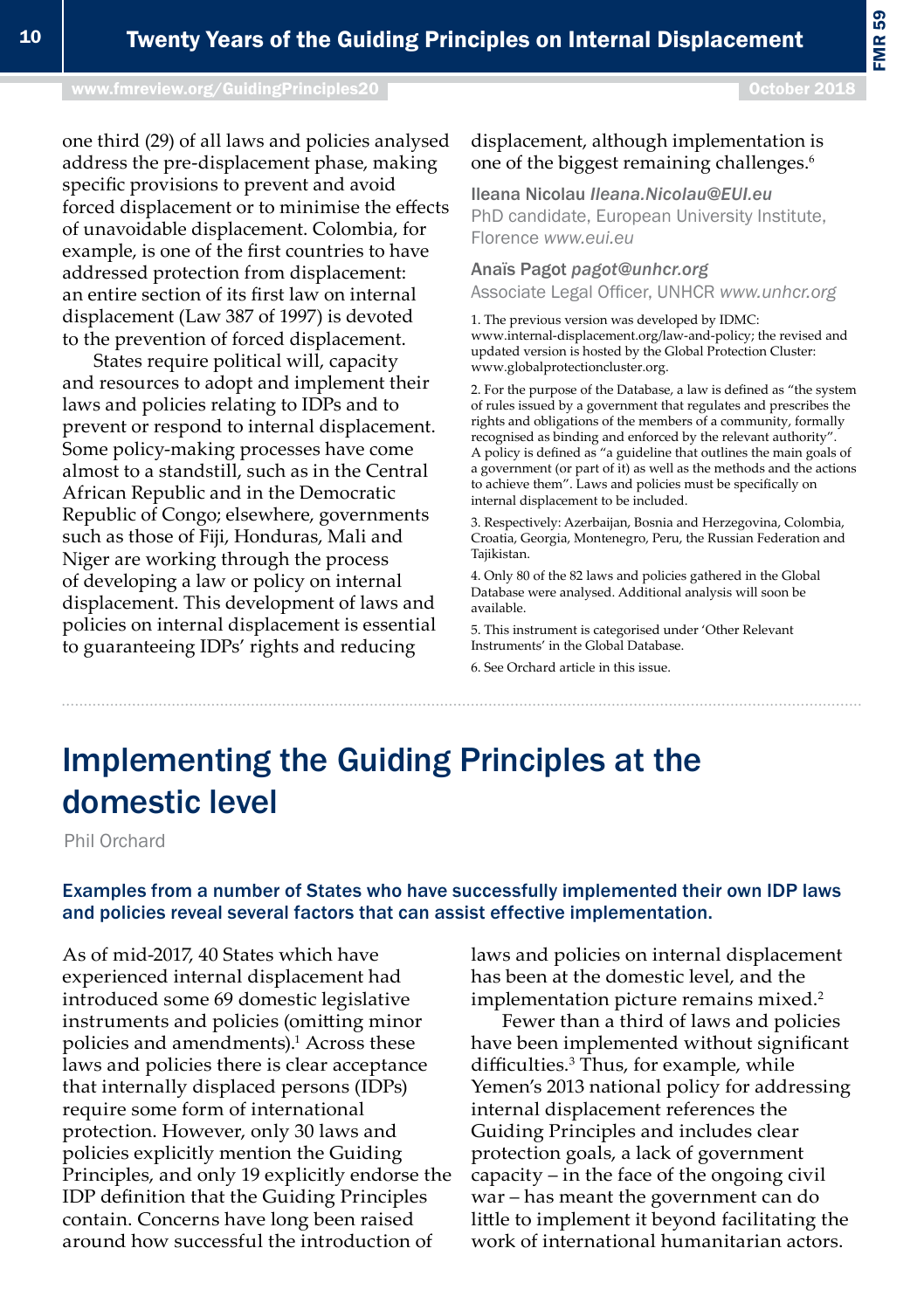# Implementing the Guiding Principles at the domestic level

Phil Orchard

## Examples from a number of States who have successfully implemented their own IDP laws and policies reveal several factors that can assist effective implementation.

As of mid-2017, 40 States which have experienced internal displacement had introduced some 69 domestic legislative instruments and policies (omitting minor policies and amendments).<sup>1</sup> Across these laws and policies there is clear acceptance that internally displaced persons (IDPs) require some form of international protection. However, only 30 laws and policies explicitly mention the Guiding Principles, and only 19 explicitly endorse the IDP definition that the Guiding Principles contain. Concerns have long been raised around how successful the introduction of

laws and policies on internal displacement has been at the domestic level, and the implementation picture remains mixed.<sup>2</sup>

Fewer than a third of laws and policies have been implemented without significant difficulties.<sup>3</sup> Thus, for example, while Yemen's 2013 national policy for addressing internal displacement references the Guiding Principles and includes clear protection goals, a lack of government capacity – in the face of the ongoing civil war – has meant the government can do little to implement it beyond facilitating the work of international humanitarian actors.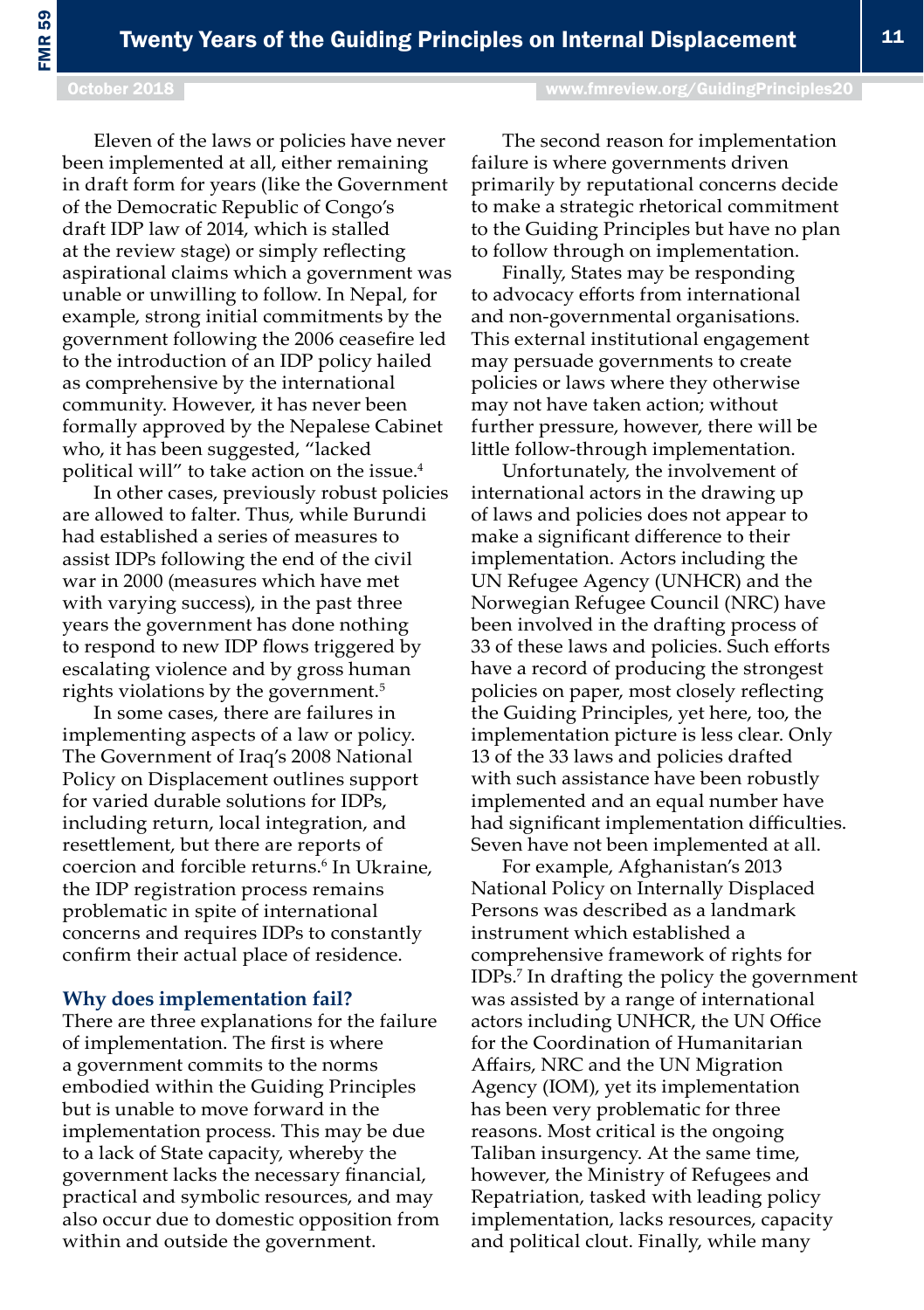Eleven of the laws or policies have never been implemented at all, either remaining in draft form for years (like the Government of the Democratic Republic of Congo's draft IDP law of 2014, which is stalled at the review stage) or simply reflecting aspirational claims which a government was unable or unwilling to follow. In Nepal, for example, strong initial commitments by the government following the 2006 ceasefire led to the introduction of an IDP policy hailed as comprehensive by the international community. However, it has never been formally approved by the Nepalese Cabinet who, it has been suggested, "lacked political will" to take action on the issue.<sup>4</sup>

In other cases, previously robust policies are allowed to falter. Thus, while Burundi had established a series of measures to assist IDPs following the end of the civil war in 2000 (measures which have met with varying success), in the past three years the government has done nothing to respond to new IDP flows triggered by escalating violence and by gross human rights violations by the government.<sup>5</sup>

In some cases, there are failures in implementing aspects of a law or policy. The Government of Iraq's 2008 National Policy on Displacement outlines support for varied durable solutions for IDPs, including return, local integration, and resettlement, but there are reports of coercion and forcible returns.<sup>6</sup> In Ukraine, the IDP registration process remains problematic in spite of international concerns and requires IDPs to constantly confirm their actual place of residence.

#### **Why does implementation fail?**

There are three explanations for the failure of implementation. The first is where a government commits to the norms embodied within the Guiding Principles but is unable to move forward in the implementation process. This may be due to a lack of State capacity, whereby the government lacks the necessary financial, practical and symbolic resources, and may also occur due to domestic opposition from within and outside the government.

The second reason for implementation failure is where governments driven primarily by reputational concerns decide to make a strategic rhetorical commitment to the Guiding Principles but have no plan to follow through on implementation.

Finally, States may be responding to advocacy efforts from international and non-governmental organisations. This external institutional engagement may persuade governments to create policies or laws where they otherwise may not have taken action; without further pressure, however, there will be little follow-through implementation.

Unfortunately, the involvement of international actors in the drawing up of laws and policies does not appear to make a significant difference to their implementation. Actors including the UN Refugee Agency (UNHCR) and the Norwegian Refugee Council (NRC) have been involved in the drafting process of 33 of these laws and policies. Such efforts have a record of producing the strongest policies on paper, most closely reflecting the Guiding Principles, yet here, too, the implementation picture is less clear. Only 13 of the 33 laws and policies drafted with such assistance have been robustly implemented and an equal number have had significant implementation difficulties. Seven have not been implemented at all.

For example, Afghanistan's 2013 National Policy on Internally Displaced Persons was described as a landmark instrument which established a comprehensive framework of rights for IDPs.<sup>7</sup> In drafting the policy the government was assisted by a range of international actors including UNHCR, the UN Office for the Coordination of Humanitarian Affairs, NRC and the UN Migration Agency (IOM), yet its implementation has been very problematic for three reasons. Most critical is the ongoing Taliban insurgency. At the same time, however, the Ministry of Refugees and Repatriation, tasked with leading policy implementation, lacks resources, capacity and political clout. Finally, while many